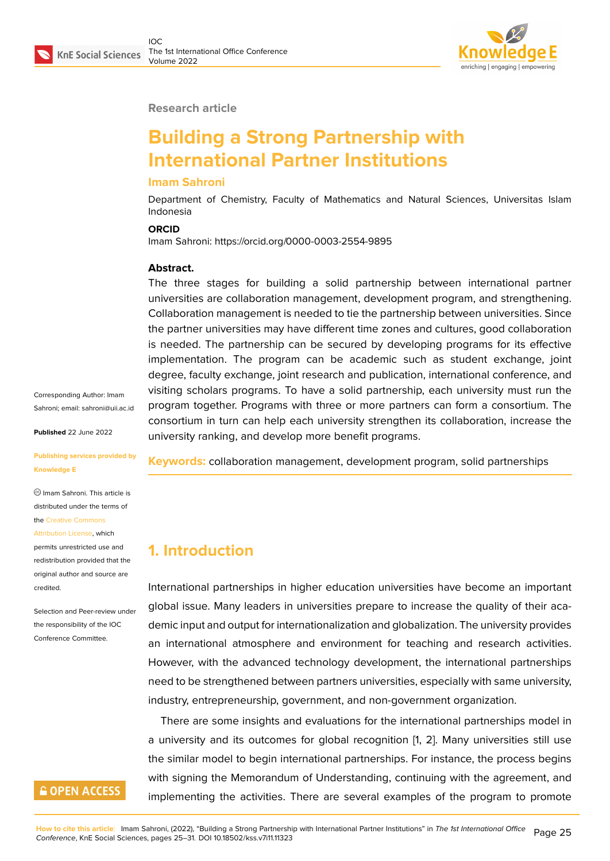

#### **Research article**

# **Building a Strong Partnership with International Partner Institutions**

#### **Imam Sahroni**

Department of Chemistry, Faculty of Mathematics and Natural Sciences, Universitas Islam Indonesia

#### **ORCID**

Imam Sahroni: https://orcid.org/0000-0003-2554-9895

#### **Abstract.**

The three stages for building a solid partnership between international partner universities are collaboration management, development program, and strengthening. Collaboration management is needed to tie the partnership between universities. Since the partner universities may have different time zones and cultures, good collaboration is needed. The partnership can be secured by developing programs for its effective implementation. The program can be academic such as student exchange, joint degree, faculty exchange, joint research and publication, international conference, and visiting scholars programs. To have a solid partnership, each university must run the program together. Programs with three or more partners can form a consortium. The consortium in turn can help each university strengthen its collaboration, increase the university ranking, and develop more benefit programs.

**Keywords:** collaboration management, development program, solid partnerships

### **1. Introduction**

International partnerships in higher education universities have become an important global issue. Many leaders in universities prepare to increase the quality of their academic input and output for internationalization and globalization. The university provides an international atmosphere and environment for teaching and research activities. However, with the advanced technology development, the international partnerships need to be strengthened between partners universities, especially with same university, industry, entrepreneurship, government, and non-government organization.

There are some insights and evaluations for the international partnerships model in a university and its outcomes for global recognition [1, 2]. Many universities still use the similar model to begin international partnerships. For instance, the process begins with signing the Memorandum of Understanding, continuing with the agreement, and implementing the activities. There are several examples of the program to promote

Corresponding Author: Imam Sahroni; email: sahroni@uii.ac.id

**Published** 22 June 2022

#### **Publishing ser[vices provided by](mailto:sahroni@uii.ac.id) Knowledge E**

Imam Sahroni. This article is distributed under the terms of the Creative Commons Attribution License, which

permits unrestricted use and redistribution provided that the orig[inal author and sou](https://creativecommons.org/licenses/by/4.0/)rce are [credited.](https://creativecommons.org/licenses/by/4.0/)

Selection and Peer-review under the responsibility of the IOC Conference Committee.

# **GOPEN ACCESS**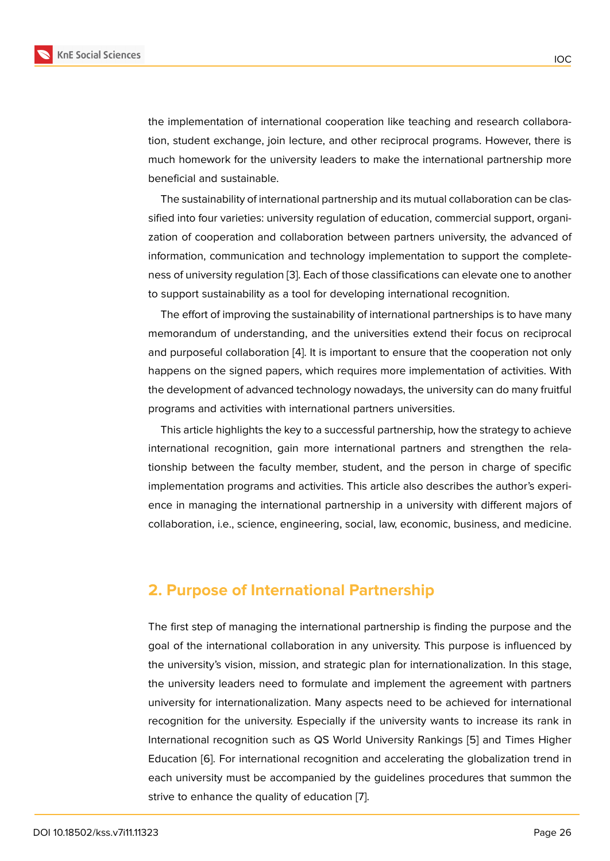the implementation of international cooperation like teaching and research collaboration, student exchange, join lecture, and other reciprocal programs. However, there is much homework for the university leaders to make the international partnership more beneficial and sustainable.

The sustainability of international partnership and its mutual collaboration can be classified into four varieties: university regulation of education, commercial support, organization of cooperation and collaboration between partners university, the advanced of information, communication and technology implementation to support the completeness of university regulation [3]. Each of those classifications can elevate one to another to support sustainability as a tool for developing international recognition.

The effort of improving the sustainability of international partnerships is to have many memorandum of understan[din](#page-5-0)g, and the universities extend their focus on reciprocal and purposeful collaboration [4]. It is important to ensure that the cooperation not only happens on the signed papers, which requires more implementation of activities. With the development of advanced technology nowadays, the university can do many fruitful programs and activities with i[nt](#page-5-1)ernational partners universities.

This article highlights the key to a successful partnership, how the strategy to achieve international recognition, gain more international partners and strengthen the relationship between the faculty member, student, and the person in charge of specific implementation programs and activities. This article also describes the author's experience in managing the international partnership in a university with different majors of collaboration, i.e., science, engineering, social, law, economic, business, and medicine.

### **2. Purpose of International Partnership**

The first step of managing the international partnership is finding the purpose and the goal of the international collaboration in any university. This purpose is influenced by the university's vision, mission, and strategic plan for internationalization. In this stage, the university leaders need to formulate and implement the agreement with partners university for internationalization. Many aspects need to be achieved for international recognition for the university. Especially if the university wants to increase its rank in International recognition such as QS World University Rankings [5] and Times Higher Education [6]. For international recognition and accelerating the globalization trend in each university must be accompanied by the guidelines procedures that summon the strive to enhance the quality of education [7].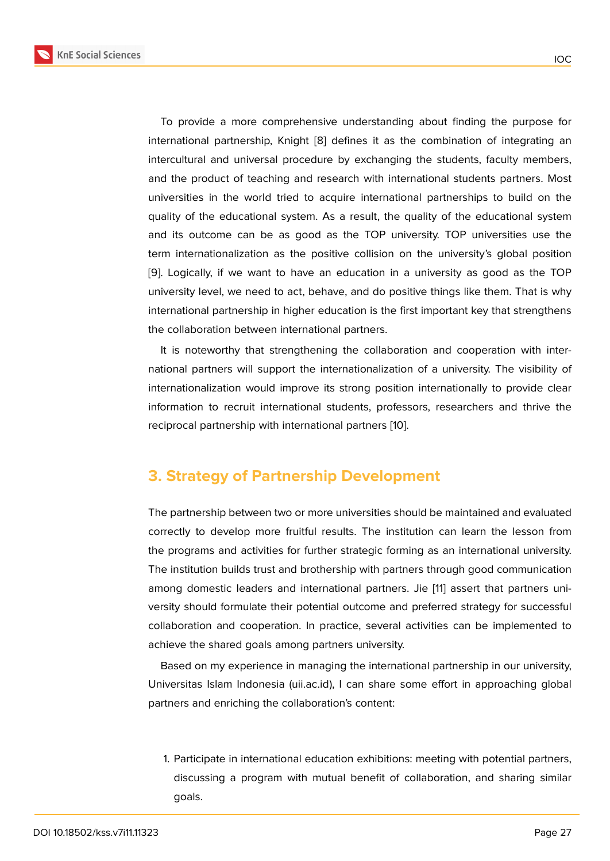

[9]. Logically, if we want to have an education in a university as good as the TOP university level, we need to act, behave, and do positive things like them. That is why international partnership in higher education is the first important key that strengthens [th](#page-5-3)e collaboration between international partners.

It is noteworthy that strengthening the collaboration and cooperation with international partners will support the internationalization of a university. The visibility of internationalization would improve its strong position internationally to provide clear information to recruit international students, professors, researchers and thrive the reciprocal partnership with international partners [10].

# **3. Strategy of Partnership Develo[pm](#page-5-4)ent**

The partnership between two or more universities should be maintained and evaluated correctly to develop more fruitful results. The institution can learn the lesson from the programs and activities for further strategic forming as an international university. The institution builds trust and brothership with partners through good communication among domestic leaders and international partners. Jie [11] assert that partners university should formulate their potential outcome and preferred strategy for successful collaboration and cooperation. In practice, several activities can be implemented to achieve the shared goals among partners university.

Based on my experience in managing the international partnership in our university, Universitas Islam Indonesia (uii.ac.id), I can share some effort in approaching global partners and enriching the collaboration's content:

1. Participate in international education exhibitions: meeting with potential partners, discussing a program with mutual benefit of collaboration, and sharing similar goals.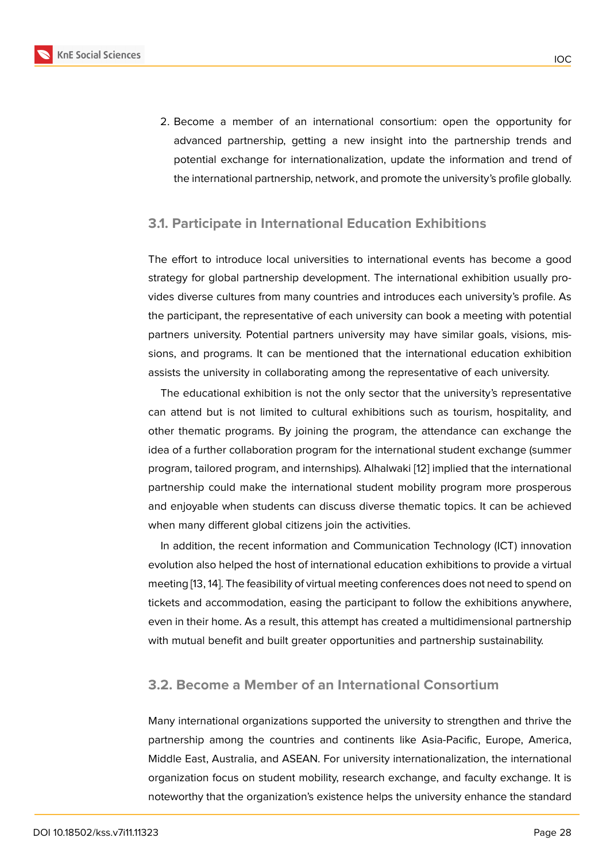2. Become a member of an international consortium: open the opportunity for advanced partnership, getting a new insight into the partnership trends and potential exchange for internationalization, update the information and trend of the international partnership, network, and promote the university's profile globally.

#### **3.1. Participate in International Education Exhibitions**

The effort to introduce local universities to international events has become a good strategy for global partnership development. The international exhibition usually provides diverse cultures from many countries and introduces each university's profile. As the participant, the representative of each university can book a meeting with potential partners university. Potential partners university may have similar goals, visions, missions, and programs. It can be mentioned that the international education exhibition assists the university in collaborating among the representative of each university.

The educational exhibition is not the only sector that the university's representative can attend but is not limited to cultural exhibitions such as tourism, hospitality, and other thematic programs. By joining the program, the attendance can exchange the idea of a further collaboration program for the international student exchange (summer program, tailored program, and internships). Alhalwaki [12] implied that the international partnership could make the international student mobility program more prosperous and enjoyable when students can discuss diverse thematic topics. It can be achieved when many different global citizens join the activities.

In addition, the recent information and Communication Technology (ICT) innovation evolution also helped the host of international education exhibitions to provide a virtual meeting [13, 14]. The feasibility of virtual meeting conferences does not need to spend on tickets and accommodation, easing the participant to follow the exhibitions anywhere, even in their home. As a result, this attempt has created a multidimensional partnership with mutual benefit and built greater opportunities and partnership sustainability.

### **3.2. Become a Member of an International Consortium**

Many international organizations supported the university to strengthen and thrive the partnership among the countries and continents like Asia-Pacific, Europe, America, Middle East, Australia, and ASEAN. For university internationalization, the international organization focus on student mobility, research exchange, and faculty exchange. It is noteworthy that the organization's existence helps the university enhance the standard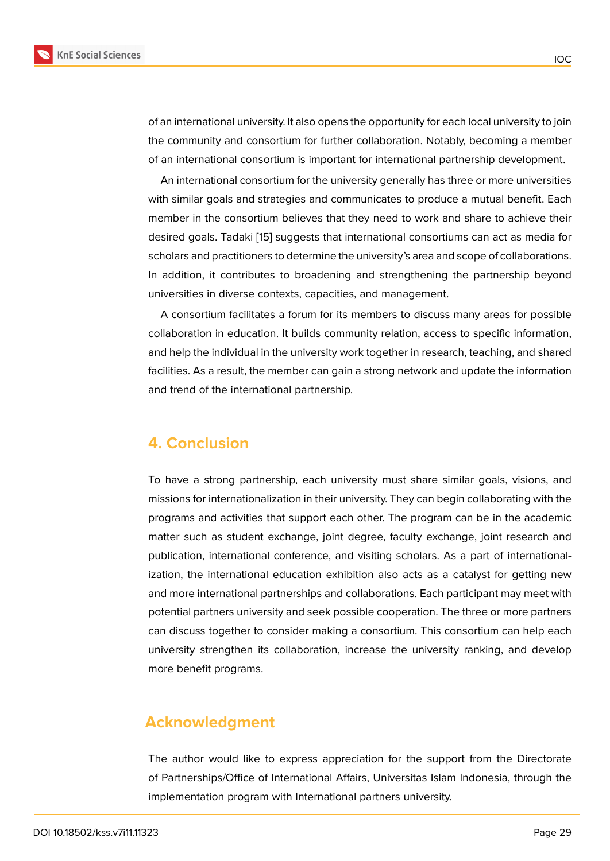of an international university. It also opens the opportunity for each local university to join the community and consortium for further collaboration. Notably, becoming a member of an international consortium is important for international partnership development.

An international consortium for the university generally has three or more universities with similar goals and strategies and communicates to produce a mutual benefit. Each member in the consortium believes that they need to work and share to achieve their desired goals. Tadaki [15] suggests that international consortiums can act as media for scholars and practitioners to determine the university's area and scope of collaborations. In addition, it contributes to broadening and strengthening the partnership beyond universities in diverse [co](#page-6-0)ntexts, capacities, and management.

A consortium facilitates a forum for its members to discuss many areas for possible collaboration in education. It builds community relation, access to specific information, and help the individual in the university work together in research, teaching, and shared facilities. As a result, the member can gain a strong network and update the information and trend of the international partnership.

### **4. Conclusion**

To have a strong partnership, each university must share similar goals, visions, and missions for internationalization in their university. They can begin collaborating with the programs and activities that support each other. The program can be in the academic matter such as student exchange, joint degree, faculty exchange, joint research and publication, international conference, and visiting scholars. As a part of internationalization, the international education exhibition also acts as a catalyst for getting new and more international partnerships and collaborations. Each participant may meet with potential partners university and seek possible cooperation. The three or more partners can discuss together to consider making a consortium. This consortium can help each university strengthen its collaboration, increase the university ranking, and develop more benefit programs.

### **Acknowledgment**

The author would like to express appreciation for the support from the Directorate of Partnerships/Office of International Affairs, Universitas Islam Indonesia, through the implementation program with International partners university.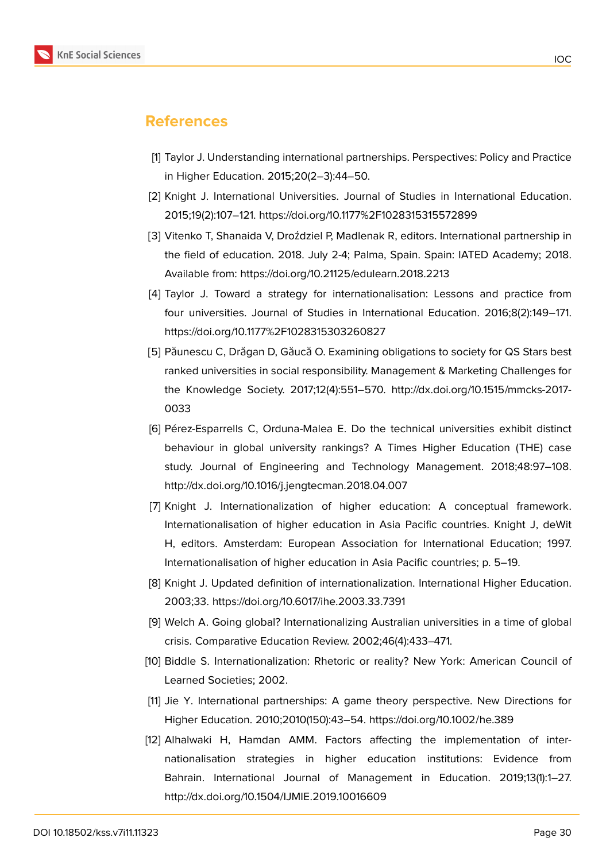

# **References**

- [1] Taylor J. Understanding international partnerships. Perspectives: Policy and Practice in Higher Education. 2015;20(2–3):44–50.
- [2] Knight J. International Universities. Journal of Studies in International Education. 2015;19(2):107–121. https://doi.org/10.1177%2F1028315315572899
- <span id="page-5-0"></span>[3] Vitenko T, Shanaida V, Droździel P, Madlenak R, editors. International partnership in the field of education. 2018. July 2-4; Palma, Spain. Spain: IATED Academy; 2018. Available from: https://doi.org/10.21125/edulearn.2018.2213
- <span id="page-5-1"></span>[4] Taylor J. Toward a strategy for internationalisation: Lessons and practice from four universities. Journal of Studies in International Education. 2016;8(2):149–171. https://doi.org/10.1177%2F1028315303260827
- [5] Păunescu C, Drăgan D, Găucă O. Examining obligations to society for QS Stars best ranked universities in social responsibility. Management & Marketing Challenges for the Knowledge Society. 2017;12(4):551–570. http://dx.doi.org/10.1515/mmcks-2017- 0033
- [6] Pérez-Esparrells C, Orduna-Malea E. Do the technical universities exhibit distinct behaviour in global university rankings? A Times Higher Education (THE) case study. Journal of Engineering and Technology Management. 2018;48:97–108. http://dx.doi.org/10.1016/j.jengtecman.2018.04.007
- [7] Knight J. Internationalization of higher education: A conceptual framework. Internationalisation of higher education in Asia Pacific countries. Knight J, deWit H, editors. Amsterdam: European Association for International Education; 1997. Internationalisation of higher education in Asia Pacific countries; p. 5–19.
- <span id="page-5-2"></span>[8] Knight J. Updated definition of internationalization. International Higher Education. 2003;33. https://doi.org/10.6017/ihe.2003.33.7391
- <span id="page-5-3"></span>[9] Welch A. Going global? Internationalizing Australian universities in a time of global crisis. Comparative Education Review. 2002;46(4):433–471.
- <span id="page-5-4"></span>[10] Biddle S. Internationalization: Rhetoric or reality? New York: American Council of Learned Societies; 2002.
- [11] Jie Y. International partnerships: A game theory perspective. New Directions for Higher Education. 2010;2010(150):43–54. https://doi.org/10.1002/he.389
- [12] Alhalwaki H, Hamdan AMM. Factors affecting the implementation of internationalisation strategies in higher education institutions: Evidence from Bahrain. International Journal of Management in Education. 2019;13(1):1–27. http://dx.doi.org/10.1504/IJMIE.2019.10016609